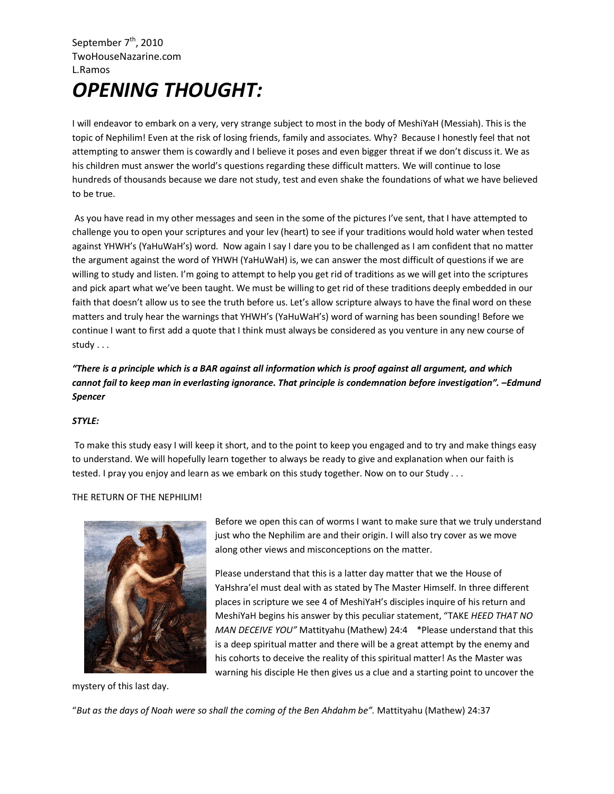## September  $7<sup>th</sup>$ , 2010 TwoHouseNazarine.com L.Ramos *OPENING THOUGHT:*

I will endeavor to embark on a very, very strange subject to most in the body of MeshiYaH (Messiah). This is the topic of Nephilim! Even at the risk of losing friends, family and associates. Why? Because I honestly feel that not attempting to answer them is cowardly and I believe it poses and even bigger threat if we don't discuss it. We as his children must answer the world's questions regarding these difficult matters. We will continue to lose hundreds of thousands because we dare not study, test and even shake the foundations of what we have believed to be true.

 As you have read in my other messages and seen in the some of the pictures I've sent, that I have attempted to challenge you to open your scriptures and your lev (heart) to see if your traditions would hold water when tested against YHWH's (YaHuWaH's) word. Now again I say I dare you to be challenged as I am confident that no matter the argument against the word of YHWH (YaHuWaH) is, we can answer the most difficult of questions if we are willing to study and listen. I'm going to attempt to help you get rid of traditions as we will get into the scriptures and pick apart what we've been taught. We must be willing to get rid of these traditions deeply embedded in our faith that doesn't allow us to see the truth before us. Let's allow scripture always to have the final word on these matters and truly hear the warnings that YHWH's (YaHuWaH's) word of warning has been sounding! Before we continue I want to first add a quote that I think must always be considered as you venture in any new course of study . . .

## *"There is a principle which is a BAR against all information which is proof against all argument, and which cannot fail to keep man in everlasting ignorance. That principle is condemnation before investigation". –Edmund Spencer*

## *STYLE:*

 To make this study easy I will keep it short, and to the point to keep you engaged and to try and make things easy to understand. We will hopefully learn together to always be ready to give and explanation when our faith is tested. I pray you enjoy and learn as we embark on this study together. Now on to our Study . . .

## THE RETURN OF THE NEPHILIM!



mystery of this last day.

Before we open this can of worms I want to make sure that we truly understand just who the Nephilim are and their origin. I will also try cover as we move along other views and misconceptions on the matter.

Please understand that this is a latter day matter that we the House of YaHshra'el must deal with as stated by The Master Himself. In three different places in scripture we see 4 of MeshiYaH's disciples inquire of his return and MeshiYaH begins his answer by this peculiar statement, "TAKE *HEED THAT NO MAN DECEIVE YOU"* Mattityahu (Mathew) 24:4 \*Please understand that this is a deep spiritual matter and there will be a great attempt by the enemy and his cohorts to deceive the reality of this spiritual matter! As the Master was warning his disciple He then gives us a clue and a starting point to uncover the

"*But as the days of Noah were so shall the coming of the Ben Ahdahm be".* Mattityahu (Mathew) 24:37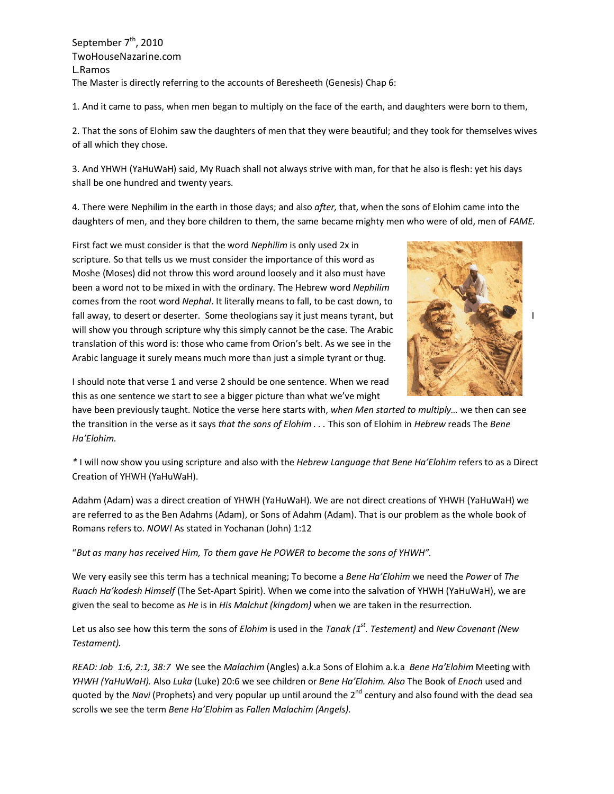September  $7<sup>th</sup>$ , 2010 TwoHouseNazarine.com L.Ramos The Master is directly referring to the accounts of Beresheeth (Genesis) Chap 6:

1. And it came to pass, when men began to multiply on the face of the earth, and daughters were born to them,

2. That the sons of Elohim saw the daughters of men that they were beautiful; and they took for themselves wives of all which they chose.

3. And YHWH (YaHuWaH) said, My Ruach shall not always strive with man, for that he also is flesh: yet his days shall be one hundred and twenty years.

4. There were Nephilim in the earth in those days; and also *after,* that, when the sons of Elohim came into the daughters of men, and they bore children to them, the same became mighty men who were of old, men of *FAME.* 



First fact we must consider is that the word *Nephilim* is only used 2x in scripture. So that tells us we must consider the importance of this word as Moshe (Moses) did not throw this word around loosely and it also must have been a word not to be mixed in with the ordinary. The Hebrew word *Nephilim* comes from the root word *Nephal*. It literally means to fall, to be cast down, to fall away, to desert or deserter. Some theologians say it just means tyrant, but will show you through scripture why this simply cannot be the case. The Arabic translation of this word is: those who came from Orion's belt. As we see in the Arabic language it surely means much more than just a simple tyrant or thug.

I should note that verse 1 and verse 2 should be one sentence. When we read this as one sentence we start to see a bigger picture than what we've might

have been previously taught. Notice the verse here starts with, *when Men started to multiply…* we then can see the transition in the verse as it says *that the sons of Elohim . . .* This son of Elohim in *Hebrew* reads The *Bene Ha'Elohim.* 

*\** I will now show you using scripture and also with the *Hebrew Language that Bene Ha'Elohim* refers to as a Direct Creation of YHWH (YaHuWaH).

Adahm (Adam) was a direct creation of YHWH (YaHuWaH). We are not direct creations of YHWH (YaHuWaH) we are referred to as the Ben Adahms (Adam), or Sons of Adahm (Adam). That is our problem as the whole book of Romans refers to. *NOW!* As stated in Yochanan (John) 1:12

"*But as many has received Him, To them gave He POWER to become the sons of YHWH".* 

We very easily see this term has a technical meaning; To become a *Bene Ha'Elohim* we need the *Power* of *The Ruach Ha'kodesh Himself* (The Set-Apart Spirit). When we come into the salvation of YHWH (YaHuWaH), we are given the seal to become as *He* is in *His Malchut (kingdom)* when we are taken in the resurrection*.* 

Let us also see how this term the sons of *Elohim* is used in the *Tanak (1st. Testement)* and *New Covenant (New Testament).* 

*READ: Job 1:6, 2:1, 38:7* We see the *Malachim* (Angles) a.k.a Sons of Elohim a.k.a *Bene Ha'Elohim* Meeting with *YHWH (YaHuWaH).* Also *Luka* (Luke) 20:6 we see children or *Bene Ha'Elohim. Also* The Book of *Enoch* used and quoted by the *Navi* (Prophets) and very popular up until around the 2<sup>nd</sup> century and also found with the dead sea scrolls we see the term *Bene Ha'Elohim* as *Fallen Malachim (Angels).*